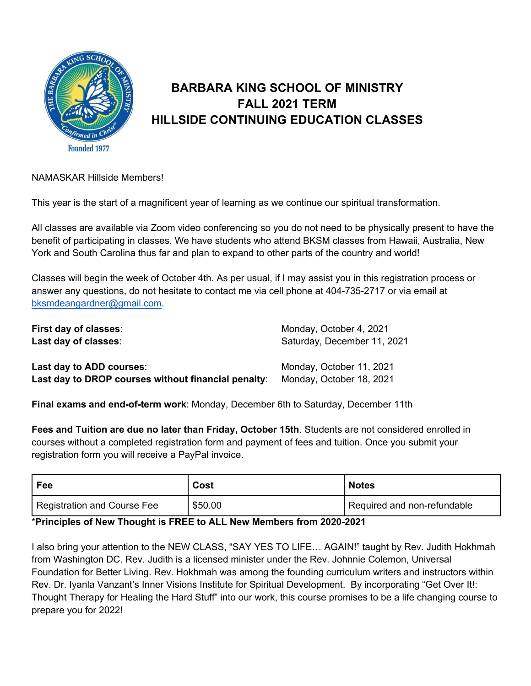

## **BARBARA KING SCHOOL OF MINISTRY FALL 2021 TERM HILLSIDE CONTINUING EDUCATION CLASSES**

## NAMASKAR Hillside Members!

This year is the start of a magnificent year of learning as we continue our spiritual transformation.

All classes are available via Zoom video conferencing so you do not need to be physically present to have the benefit of participating in classes. We have students who attend BKSM classes from Hawaii, Australia, New York and South Carolina thus far and plan to expand to other parts of the country and world!

Classes will begin the week of October 4th. As per usual, if I may assist you in this registration process or answer any questions, do not hesitate to contact me via cell phone at 404-735-2717 or via email at bksmdeangardner@gmail.com.

| First day of classes:                               | Monday, October 4, 2021     |  |  |  |
|-----------------------------------------------------|-----------------------------|--|--|--|
| Last day of classes:                                | Saturday, December 11, 2021 |  |  |  |
| Last day to ADD courses:                            | Monday, October 11, 2021    |  |  |  |
| Last day to DROP courses without financial penalty: | Monday, October 18, 2021    |  |  |  |

**Final exams and end-of-term work**: Monday, December 6th to Saturday, December 11th

**Fees and Tuition are due no later than Friday, October 15th**. Students are not considered enrolled in courses without a completed registration form and payment of fees and tuition. Once you submit your registration form you will receive a PayPal invoice.

| Fee                         | Cost    | <b>Notes</b>                |
|-----------------------------|---------|-----------------------------|
| Registration and Course Fee | \$50.00 | Required and non-refundable |

## \***Principles of New Thought is FREE to ALL New Members from 2020-2021**

I also bring your attention to the NEW CLASS, "SAY YES TO LIFE… AGAIN!" taught by Rev. Judith Hokhmah from Washington DC. Rev. Judith is a licensed minister under the Rev. Johnnie Colemon, Universal Foundation for Better Living. Rev. Hokhmah was among the founding curriculum writers and instructors within Rev. Dr. Iyanla Vanzant's Inner Visions Institute for Spiritual Development. By incorporating "Get Over It!: Thought Therapy for Healing the Hard Stuff" into our work, this course promises to be a life changing course to prepare you for 2022!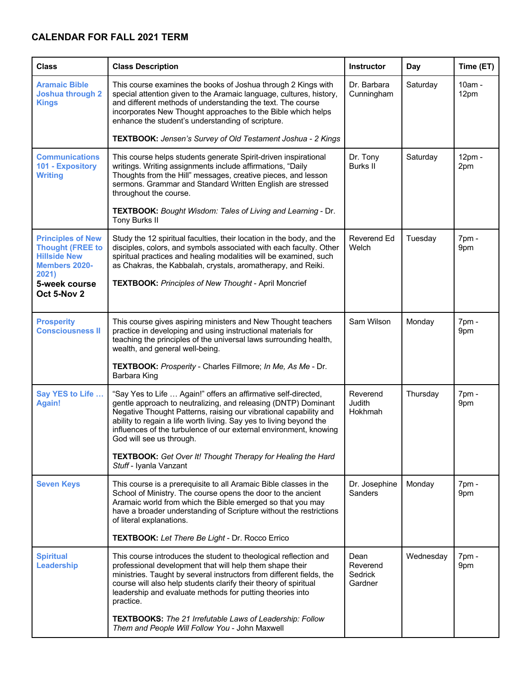## **CALENDAR FOR FALL 2021 TERM**

| <b>Class</b>                                                                                                | <b>Class Description</b>                                                                                                                                                                                                                                                                                                                                                      | <b>Instructor</b>                      | Day       | Time (ET)      |
|-------------------------------------------------------------------------------------------------------------|-------------------------------------------------------------------------------------------------------------------------------------------------------------------------------------------------------------------------------------------------------------------------------------------------------------------------------------------------------------------------------|----------------------------------------|-----------|----------------|
| <b>Aramaic Bible</b><br><b>Joshua through 2</b><br><b>Kings</b>                                             | This course examines the books of Joshua through 2 Kings with<br>special attention given to the Aramaic language, cultures, history,<br>and different methods of understanding the text. The course<br>incorporates New Thought approaches to the Bible which helps<br>enhance the student's understanding of scripture.                                                      | Dr. Barbara<br>Cunningham              | Saturday  | 10am -<br>12pm |
|                                                                                                             | TEXTBOOK: Jensen's Survey of Old Testament Joshua - 2 Kings                                                                                                                                                                                                                                                                                                                   |                                        |           |                |
| <b>Communications</b><br>101 - Expository<br><b>Writing</b>                                                 | This course helps students generate Spirit-driven inspirational<br>writings. Writing assignments include affirmations, "Daily<br>Thoughts from the Hill" messages, creative pieces, and lesson<br>sermons. Grammar and Standard Written English are stressed<br>throughout the course.                                                                                        | Dr. Tony<br><b>Burks II</b>            | Saturday  | 12pm -<br>2pm  |
|                                                                                                             | TEXTBOOK: Bought Wisdom: Tales of Living and Learning - Dr.<br>Tony Burks II                                                                                                                                                                                                                                                                                                  |                                        |           |                |
| <b>Principles of New</b><br><b>Thought (FREE to</b><br><b>Hillside New</b><br><b>Members 2020-</b><br>2021) | Study the 12 spiritual faculties, their location in the body, and the<br>disciples, colors, and symbols associated with each faculty. Other<br>spiritual practices and healing modalities will be examined, such<br>as Chakras, the Kabbalah, crystals, aromatherapy, and Reiki.                                                                                              | Reverend Ed<br>Welch                   | Tuesday   | 7pm -<br>9pm   |
| 5-week course<br>Oct 5-Nov 2                                                                                | <b>TEXTBOOK: Principles of New Thought - April Moncrief</b>                                                                                                                                                                                                                                                                                                                   |                                        |           |                |
| <b>Prosperity</b><br><b>Consciousness II</b>                                                                | This course gives aspiring ministers and New Thought teachers<br>practice in developing and using instructional materials for<br>teaching the principles of the universal laws surrounding health,<br>wealth, and general well-being.                                                                                                                                         | Sam Wilson                             | Monday    | 7pm -<br>9pm   |
|                                                                                                             | TEXTBOOK: Prosperity - Charles Fillmore; In Me, As Me - Dr.<br>Barbara King                                                                                                                                                                                                                                                                                                   |                                        |           |                |
| Say YES to Life<br><b>Again!</b>                                                                            | "Say Yes to Life  Again!" offers an affirmative self-directed,<br>gentle approach to neutralizing, and releasing (DNTP) Dominant<br>Negative Thought Patterns, raising our vibrational capability and<br>ability to regain a life worth living. Say yes to living beyond the<br>influences of the turbulence of our external environment, knowing<br>God will see us through. | Reverend<br>Judith<br>Hokhmah          | Thursday  | 7pm -<br>9pm   |
|                                                                                                             | TEXTBOOK: Get Over It! Thought Therapy for Healing the Hard<br>Stuff - Iyanla Vanzant                                                                                                                                                                                                                                                                                         |                                        |           |                |
| <b>Seven Keys</b>                                                                                           | This course is a prerequisite to all Aramaic Bible classes in the<br>School of Ministry. The course opens the door to the ancient<br>Aramaic world from which the Bible emerged so that you may<br>have a broader understanding of Scripture without the restrictions<br>of literal explanations.                                                                             | Dr. Josephine<br><b>Sanders</b>        | Monday    | 7pm -<br>9pm   |
|                                                                                                             | <b>TEXTBOOK:</b> Let There Be Light - Dr. Rocco Errico                                                                                                                                                                                                                                                                                                                        |                                        |           |                |
| <b>Spiritual</b><br>Leadership                                                                              | This course introduces the student to theological reflection and<br>professional development that will help them shape their<br>ministries. Taught by several instructors from different fields, the<br>course will also help students clarify their theory of spiritual<br>leadership and evaluate methods for putting theories into<br>practice.                            | Dean<br>Reverend<br>Sedrick<br>Gardner | Wednesday | 7pm -<br>9pm   |
|                                                                                                             | TEXTBOOKS: The 21 Irrefutable Laws of Leadership: Follow<br>Them and People Will Follow You - John Maxwell                                                                                                                                                                                                                                                                    |                                        |           |                |